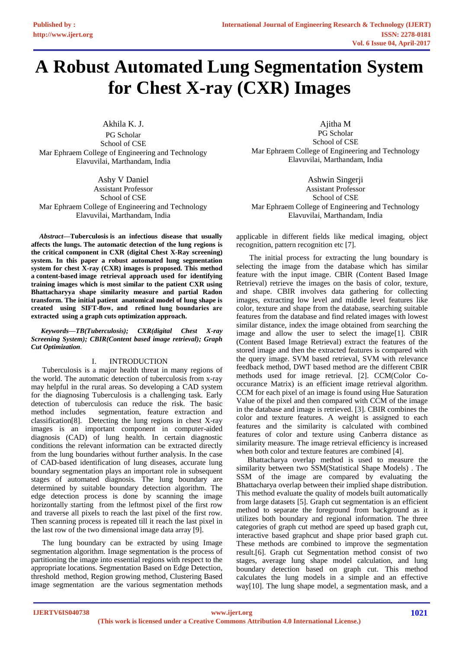# **A Robust Automated Lung Segmentation System for Chest X-ray (CXR) Images**

Akhila K. J. PG Scholar School of CSE Mar Ephraem College of Engineering and Technology Elavuvilai, Marthandam, India

Ashy V Daniel Assistant Professor School of CSE Mar Ephraem College of Engineering and Technology Elavuvilai, Marthandam, India

*Abstract—***Tuberculosis is an infectious disease that usually affects the lungs. The automatic detection of the lung regions is the critical component in CXR (digital Chest X-Ray screening) system. In this paper a robust automated lung segmentation system for chest X-ray (CXR) images is proposed. This method a content-based image retrieval approach used for identifying training images which is most similar to the patient CXR using Bhattacharyya shape similarity measure and partial Radon transform. The initial patient anatomical model of lung shape is created using SIFT-flow, and refined lung boundaries are extracted using a graph cuts optimization approach.**

*Keywords—TB(Tuberculosis); CXR(digital Chest X-ray Screening System); CBIR(Content based image retrieval); Graph Cut Optimization.*

# I. INTRODUCTION

Tuberculosis is a major health threat in many regions of the world. The automatic detection of tuberculosis from x-ray may helpful in the rural areas. So developing a CAD system for the diagnosing Tuberculosis is a challenging task. Early detection of tuberculosis can reduce the risk. The basic method includes segmentation, feature extraction and classification[8]. Detecting the lung regions in chest X-ray images is an important component in computer-aided diagnosis (CAD) of lung health. In certain diagnostic conditions the relevant information can be extracted directly from the lung boundaries without further analysis. In the case of CAD-based identification of lung diseases, accurate lung boundary segmentation plays an important role in subsequent stages of automated diagnosis. The lung boundary are determined by suitable boundary detection algorithm. The edge detection process is done by scanning the image horizontally starting from the leftmost pixel of the first row and traverse all pixels to reach the last pixel of the first row. Then scanning process is repeated till it reach the last pixel in the last row of the two dimensional image data array [9].

The lung boundary can be extracted by using Image segmentation algorithm. Image segmentation is the process of partitioning the image into essential regions with respect to the appropriate locations. Segmentation Based on Edge Detection, threshold method, Region growing method, Clustering Based image segmentation are the various segmentation methods

Ajitha M PG Scholar School of CSE Mar Ephraem College of Engineering and Technology Elavuvilai, Marthandam, India

Ashwin Singerji Assistant Professor School of CSE Mar Ephraem College of Engineering and Technology Elavuvilai, Marthandam, India

applicable in different fields like medical imaging, object recognition, pattern recognition etc [7].

The initial process for extracting the lung boundary is selecting the image from the database which has similar feature with the input image. CBIR (Content Based Image Retrieval) retrieve the images on the basis of color, texture, and shape. CBIR involves data gathering for collecting images, extracting low level and middle level features like color, texture and shape from the database, searching suitable features from the database and find related images with lowest similar distance, index the image obtained from searching the image and allow the user to select the image[1]. CBIR (Content Based Image Retrieval) extract the features of the stored image and then the extracted features is compared with the query image. SVM based retrieval, SVM with relevance feedback method, DWT based method are the different CBIR methods used for image retrieval. [2]. CCM(Color Cooccurance Matrix) is an efficient image retrieval algorithm. CCM for each pixel of an image is found using Hue Saturation Value of the pixel and then compared with CCM of the image in the database and image is retrieved. [3]. CBIR combines the color and texture features. A weight is assigned to each features and the similarity is calculated with combined features of color and texture using Canberra distance as similarity measure. The image retrieval efficiency is increased when both color and texture features are combined [4].

Bhattacharya overlap method is used to measure the similarity between two SSM(Statistical Shape Models) . The SSM of the image are compared by evaluating the Bhattacharya overlap between their implied shape distribution. This method evaluate the quality of models built automatically from large datasets [5]. Graph cut segmentation is an efficient method to separate the foreground from background as it utilizes both boundary and regional information. The three categories of graph cut method are speed up based graph cut, interactive based graphcut and shape prior based graph cut. These methods are combined to improve the segmentation result.[6]. Graph cut Segmentation method consist of two stages, average lung shape model calculation, and lung boundary detection based on graph cut. This method calculates the lung models in a simple and an effective way[10]. The lung shape model, a segmentation mask, and a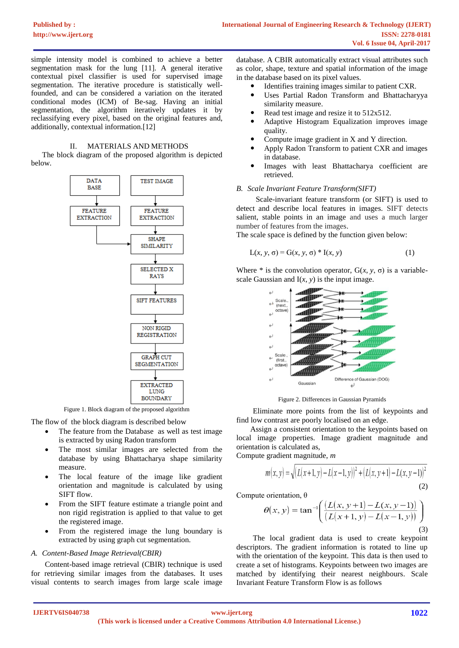simple intensity model is combined to achieve a better segmentation mask for the lung [11]. A general iterative contextual pixel classifier is used for supervised image segmentation. The iterative procedure is statistically wellfounded, and can be considered a variation on the iterated conditional modes (ICM) of Be-sag. Having an initial segmentation, the algorithm iteratively updates it by reclassifying every pixel, based on the original features and, additionally, contextual information.[12]

#### II. MATERIALS AND METHODS

The block diagram of the proposed algorithm is depicted below.



Figure 1. Block diagram of the proposed algorithm

The flow of the block diagram is described below

- The feature from the Database as well as test image is extracted by using Radon transform
- The most similar images are selected from the database by using Bhattacharya shape similarity measure.
- The local feature of the image like gradient orientation and magnitude is calculated by using SIFT flow.
- From the SIFT feature estimate a triangle point and non rigid registration is applied to that value to get the registered image.
- From the registered image the lung boundary is extracted by using graph cut segmentation.

# *A. Content-Based Image Retrieval(CBIR)*

Content-based image retrieval (CBIR) technique is used for retrieving similar images from the databases. It uses visual contents to search images from large scale image

database. A CBIR automatically extract visual attributes such as color, shape, texture and spatial information of the image in the database based on its pixel values.

- Identifies training images similar to patient CXR.
- Uses Partial Radon Transform and Bhattacharyya similarity measure.
- Read test image and resize it to 512x512.
- Adaptive Histogram Equalization improves image quality.
- Compute image gradient in X and Y direction.
- Apply Radon Transform to patient CXR and images in database.
- Images with least Bhattacharya coefficient are retrieved.

### *B. Scale Invariant Feature Transform(SIFT)*

Scale-invariant feature transform (or SIFT) is used to detect and describe local features in images. SIFT detects salient, stable points in an image and uses a much larger number of features from the images.

The scale space is defined by the function given below:

$$
L(x, y, \sigma) = G(x, y, \sigma) * I(x, y)
$$
\n<sup>(1)</sup>

Where  $*$  is the convolution operator,  $G(x, y, \sigma)$  is a variablescale Gaussian and  $I(x, y)$  is the input image.



Figure 2. Differences in Gaussian Pyramids

Eliminate more points from the list of keypoints and find low contrast are poorly localised on an edge.

Assign a consistent orientation to the keypoints based on local image properties. Image gradient magnitude and orientation is calculated as,

Compute gradient magnitude, *m*

$$
m(x, y) = \sqrt{(L(x+1, y) - L(x-1, y))^2 + (L(x, y+1) - L(x, y-1))^2}
$$
\n(2)

Compute orientation, θ

$$
\theta(x, y) = \tan^{-1}\left(\frac{(L(x, y+1) - L(x, y-1))}{(L(x+1, y) - L(x-1, y))}\right)
$$
\n(3)

The local gradient data is used to create keypoint descriptors. The gradient information is rotated to line up with the orientation of the keypoint. This data is then used to create a set of histograms. Keypoints between two images are matched by identifying their nearest neighbours. Scale Invariant Feature Transform Flow is as follows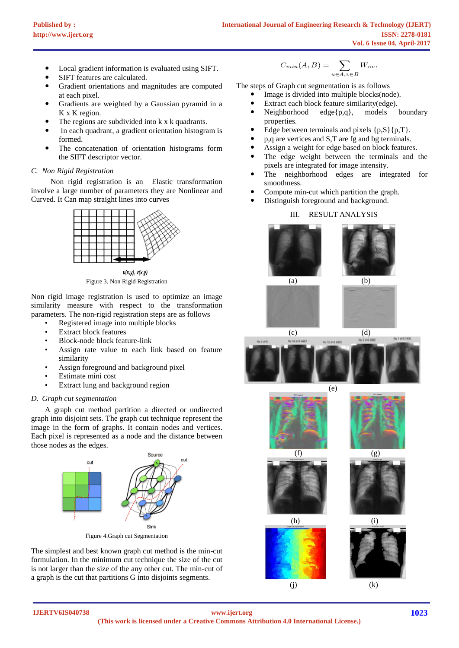- Local gradient information is evaluated using SIFT.
- SIFT features are calculated.
- Gradient orientations and magnitudes are computed at each pixel.
- Gradients are weighted by a Gaussian pyramid in a K x K region.
- The regions are subdivided into k x k quadrants.
- In each quadrant, a gradient orientation histogram is formed.
- The concatenation of orientation histograms form the SIFT descriptor vector.

## *C. Non Rigid Registration*

Non rigid registration is an Elastic transformation involve a large number of parameters they are Nonlinear and Curved. It Can map straight lines into curves





Non rigid image registration is used to optimize an image similarity measure with respect to the transformation parameters. The non-rigid registration steps are as follows

- Registered image into multiple blocks
- **Extract block features**
- Block-node block feature-link
- Assign rate value to each link based on feature similarity
- Assign foreground and background pixel
- Estimate mini cost
- Extract lung and background region

#### *D. Graph cut segmentation*

A graph cut method partition a directed or undirected graph into disjoint sets. The graph cut technique represent the image in the form of graphs. It contain nodes and vertices. Each pixel is represented as a node and the distance between those nodes as the edges.



Figure 4.Graph cut Segmentation

The simplest and best known graph cut method is the min-cut formulation. In the minimum cut technique the size of the cut is not larger than the size of the any other cut. The min-cut of a graph is the cut that partitions G into disjoints segments.

$$
C_{min}(A,B)=\sum_{u\in A, v\in B}W_{uv}.
$$

The steps of Graph cut segmentation is as follows

- Image is divided into multiple blocks(node).
- Extract each block feature similarity(edge).
- Neighborhood edge{p,q}, models boundary properties.
- Edge between terminals and pixels  $\{p,S\}\{p,T\}$ .
- p,q are vertices and S,T are fg and bg terminals.
- Assign a weight for edge based on block features.
- The edge weight between the terminals and the pixels are integrated for image intensity.
- The neighborhood edges are integrated for smoothness.
- Compute min-cut which partition the graph.
- Distinguish foreground and background.

# III. RESULT ANALYSIS







 $(i)$  (k)